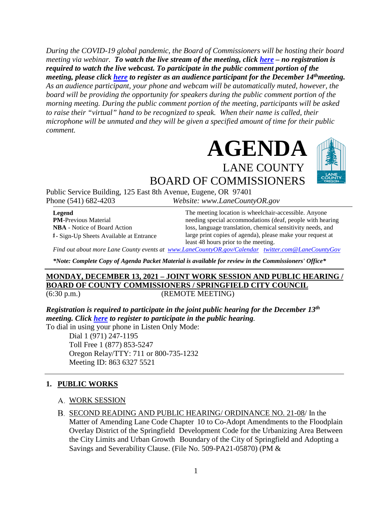*During the COVID-19 global pandemic, the Board of Commissioners will be hosting their board meeting via webinar. To watch the live stream of the meeting, click [here](https://lanecounty.org/cms/One.aspx?portalId=3585881&pageId=7842434) – no registration is required to watch the live webcast. To participate in the public comment portion of the meeting, please click [here](https://attendee.gotowebinar.com/register/3808918704899205133) to register as an audience participant for the December 14thmeeting. As an audience participant, your phone and webcam will be automatically muted, however, the board will be providing the opportunity for speakers during the public comment portion of the morning meeting. During the public comment portion of the meeting, participants will be asked to raise their "virtual" hand to be recognized to speak. When their name is called, their microphone will be unmuted and they will be given a specified amount of time for their public comment.* 





BOARD OF COMMISSIONERS

Public Service Building, 125 East 8th Avenue, Eugene, OR 97401 Phone (541) 682-4203 *Website: www.LaneCountyOR.gov*

**Legend PM**-Previous Material **NBA** - Notice of Board Action **#** - Sign-Up Sheets Available at Entrance

The meeting location is wheelchair-accessible. Anyone needing special accommodations (deaf, people with hearing loss, language translation, chemical sensitivity needs, and large print copies of agenda), please make your request at least 48 hours prior to the meeting.

*Find out about more Lane County events at [www.LaneCountyOR.gov/Calendar](http://www.lanecountyor.gov/Calendar) [twitter.com@LaneCountyGov](https://twitter.com/lanecountygov?lang=en)*

*\*Note: Complete Copy of Agenda Packet Material is available for review in the Commissioners' Office\**

#### **MONDAY, DECEMBER 13, 2021 – JOINT WORK SESSION AND PUBLIC HEARING / BOARD OF COUNTY COMMISSIONERS / SPRINGFIELD CITY COUNCIL** (6:30 p.m.) (REMOTE MEETING)

*Registration is required to participate in the joint public hearing for the December 13th meeting. Click [here](https://us06web.zoom.us/webinar/register/WN_tShWE59oQXyi_xuoGSKyOQ) to register to participate in the public hearing.* 

To dial in using your phone in Listen Only Mode:

Dial 1 (971) 247-1195 Toll Free 1 (877) 853-5247 Oregon Relay/TTY: 711 or 800-735-1232 Meeting ID: 863 6327 5521

### **1. PUBLIC WORKS**

- WORK SESSION
- SECOND READING AND PUBLIC HEARING/ ORDINANCE NO. 21-08/ In the Matter of Amending Lane Code Chapter 10 to Co-Adopt Amendments to the Floodplain Overlay District of the Springfield Development Code for the Urbanizing Area Between the City Limits and Urban Growth Boundary of the City of Springfield and Adopting a Savings and Severability Clause. (File No. 509-PA21-05870) (PM &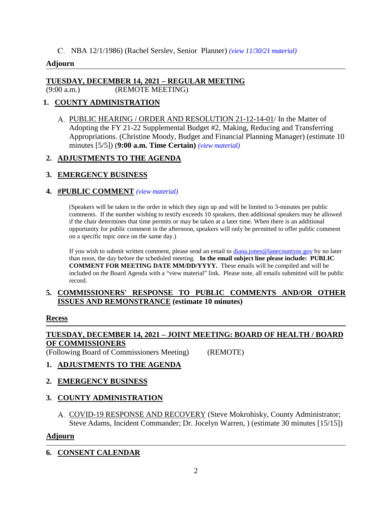#### NBA 12/1/1986) (Rachel Serslev, Senior Planner) *(view 11/30/21 [material\)](http://www.lanecountyor.gov/UserFiles/Servers/Server_3585797/File/Government/BCC/2021/2021_AGENDAS/113021agenda/T.7.B.pdf)*

#### **Adjourn**

#### **TUESDAY, DECEMBER 14, 2021 – REGULAR MEETING**

(9:00 a.m.) (REMOTE MEETING)

#### **1. COUNTY ADMINISTRATION**

A. PUBLIC HEARING / ORDER AND RESOLUTION 21-12-14-01/ In the Matter of Adopting the FY 21-22 Supplemental Budget #2, Making, Reducing and Transferring Appropriations. (Christine Moody, Budget and Financial Planning Manager) (estimate 10 minutes [5/5]) (**9:00 a.m. Time Certain)** *(view [material\)](http://www.lanecountyor.gov/UserFiles/Servers/Server_3585797/File/Government/BCC/2021/2021_AGENDAS/121421agenda/T.1.A.pdf)*

#### **2. ADJUSTMENTS TO THE AGENDA**

### **3. EMERGENCY BUSINESS**

#### **4. #PUBLIC COMMENT** *(view [material\)](http://www.lanecountyor.gov/UserFiles/Servers/Server_3585797/File/Government/BCC/2021/2021_AGENDAS/121421agenda/T.4.pdf)*

(Speakers will be taken in the order in which they sign up and will be limited to 3-minutes per public comments. If the number wishing to testify exceeds 10 speakers, then additional speakers may be allowed if the chair determines that time permits or may be taken at a later time. When there is an additional opportunity for public comment in the afternoon, speakers will only be permitted to offer public comment on a specific topic once on the same day.)

If you wish to submit written comment, please send an email to *diana.jones@lanecountyor.gov* by no later than noon, the day before the scheduled meeting. **In the email subject line please include: PUBLIC COMMENT FOR MEETING DATE MM/DD/YYYY.** These emails will be compiled and will be included on the Board Agenda with a "view material" link. Please note, all emails submitted will be public record.

#### **5. COMMISSIONERS' RESPONSE TO PUBLIC COMMENTS AND/OR OTHER ISSUES AND REMONSTRANCE (estimate 10 minutes)**

#### **Recess**

## **TUESDAY, DECEMBER 14, 2021 – JOINT MEETING: BOARD OF HEALTH / BOARD OF COMMISSIONERS**

(Following Board of Commissioners Meeting) (REMOTE)

### **1. ADJUSTMENTS TO THE AGENDA**

#### **2. EMERGENCY BUSINESS**

### **3. COUNTY ADMINISTRATION**

A. COVID-19 RESPONSE AND RECOVERY (Steve Mokrohisky, County Administrator; Steve Adams, Incident Commander; Dr. Jocelyn Warren, ) (estimate 30 minutes [15/15])

#### **Adjourn**

### **6. CONSENT CALENDAR**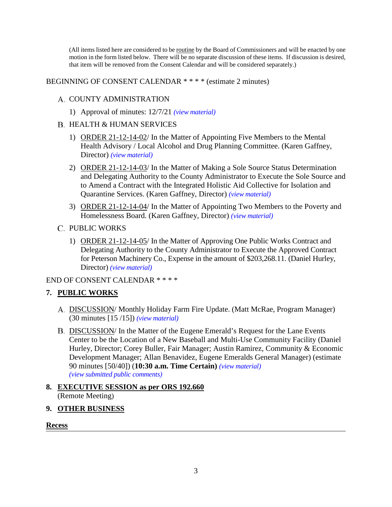(All items listed here are considered to be routine by the Board of Commissioners and will be enacted by one motion in the form listed below. There will be no separate discussion of these items. If discussion is desired, that item will be removed from the Consent Calendar and will be considered separately.)

### BEGINNING OF CONSENT CALENDAR \* \* \* \* (estimate 2 minutes)

### A. COUNTY ADMINISTRATION

1) Approval of minutes: 12/7/21 *(view [material\)](http://www.lanecountyor.gov/UserFiles/Servers/Server_3585797/File/Government/BCC/2021/2021_AGENDAS/121421agenda/T.6.A.1.pdf)*

### B. HEALTH & HUMAN SERVICES

- 1) ORDER 21-12-14-02/ In the Matter of Appointing Five Members to the Mental Health Advisory / Local Alcohol and Drug Planning Committee. (Karen Gaffney, Director) *(view [material\)](http://www.lanecountyor.gov/UserFiles/Servers/Server_3585797/File/Government/BCC/2021/2021_AGENDAS/121421agenda/T.6.B.1.pdf)*
- 2) ORDER 21-12-14-03/ In the Matter of Making a Sole Source Status Determination and Delegating Authority to the County Administrator to Execute the Sole Source and to Amend a Contract with the Integrated Holistic Aid Collective for Isolation and Quarantine Services. (Karen Gaffney, Director) *(view [material\)](http://www.lanecountyor.gov/UserFiles/Servers/Server_3585797/File/Government/BCC/2021/2021_AGENDAS/121421agenda/T.6.B.2.pdf)*
- 3) ORDER 21-12-14-04/ In the Matter of Appointing Two Members to the Poverty and Homelessness Board. (Karen Gaffney, Director) *(view [material\)](http://www.lanecountyor.gov/UserFiles/Servers/Server_3585797/File/Government/BCC/2021/2021_AGENDAS/121421agenda/T.6.B.3.pdf)*
- **C. PUBLIC WORKS** 
	- 1) ORDER 21-12-14-05/ In the Matter of Approving One Public Works Contract and Delegating Authority to the County Administrator to Execute the Approved Contract for Peterson Machinery Co., Expense in the amount of \$203,268.11. (Daniel Hurley, Director) *(view [material\)](http://www.lanecountyor.gov/UserFiles/Servers/Server_3585797/File/Government/BCC/2021/2021_AGENDAS/121421agenda/T.6.C.1.pdf)*

END OF CONSENT CALENDAR \* \* \* \*

# **7. PUBLIC WORKS**

- DISCUSSION/ Monthly Holiday Farm Fire Update. (Matt McRae, Program Manager) (30 minutes [15 /15]) *(view [material\)](http://www.lanecountyor.gov/UserFiles/Servers/Server_3585797/File/Government/BCC/2021/2021_AGENDAS/121421agenda/T.7.A.pdf)*
- DISCUSSION/ In the Matter of the Eugene Emerald's Request for the Lane Events Center to be the Location of a New Baseball and Multi-Use Community Facility (Daniel Hurley, Director; Corey Buller, Fair Manager; Austin Ramirez, Community & Economic Development Manager; Allan Benavidez, Eugene Emeralds General Manager) (estimate 90 minutes [50/40]) (**10:30 a.m. Time Certain)** *(view [material\)](http://www.lanecountyor.gov/UserFiles/Servers/Server_3585797/File/Government/BCC/2021/2021_AGENDAS/121421agenda/T.7.B.pdf) (view submitted public [comments\)](http://www.lanecountyor.gov/UserFiles/Servers/Server_3585797/File/Government/BCC/2021/2021_AGENDAS/121421agenda/EmeraldTestimony.pdf)*
- **8. EXECUTIVE SESSION as per ORS 192.660** (Remote Meeting)
- **9. OTHER BUSINESS**

**Recess**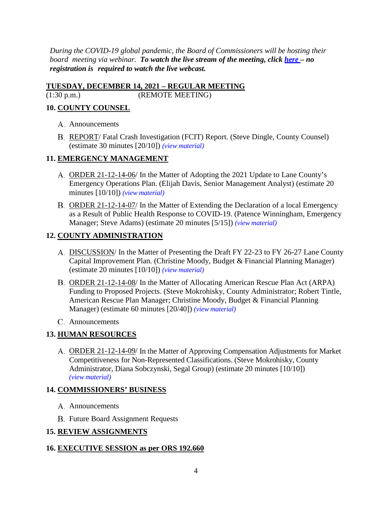*During the COVID-19 global pandemic, the Board of Commissioners will be hosting their board meeting via webinar. To watch the live stream of the meeting, click [here](https://lanecounty.org/cms/One.aspx?portalId=3585881&pageId=7842434) – no registration is required to watch the live webcast.*

# **TUESDAY, DECEMBER 14, 2021 – REGULAR MEETING**

(1:30 p.m.) (REMOTE MEETING)

## **10. COUNTY COUNSEL**

- A. Announcements
- REPORT/ Fatal Crash Investigation (FCIT) Report. (Steve Dingle, County Counsel) (estimate 30 minutes [20/10]) *(view [material\)](http://www.lanecountyor.gov/UserFiles/Servers/Server_3585797/File/Government/BCC/2021/2021_AGENDAS/121421agenda/T.10.B.pdf)*

# **11. EMERGENCY MANAGEMENT**

- ORDER 21-12-14-06/ In the Matter of Adopting the 2021 Update to Lane County's Emergency Operations Plan. (Elijah Davis, Senior Management Analyst) (estimate 20 minutes [10/10]) *(view [material\)](http://www.lanecountyor.gov/UserFiles/Servers/Server_3585797/File/Government/BCC/2021/2021_AGENDAS/121421agenda/T.11.A.pdf)*
- B. ORDER 21-12-14-07/ In the Matter of Extending the Declaration of a local Emergency as a Result of Public Health Response to COVID-19. (Patence Winningham, Emergency Manager; Steve Adams) (estimate 20 minutes [5/15]) *(view [material\)](http://www.lanecountyor.gov/UserFiles/Servers/Server_3585797/File/Government/BCC/2021/2021_AGENDAS/121421agenda/T.11.B.pdf)*

# **12. COUNTY ADMINISTRATION**

- DISCUSSION/ In the Matter of Presenting the Draft FY 22-23 to FY 26-27 Lane County Capital Improvement Plan. (Christine Moody, Budget & Financial Planning Manager) (estimate 20 minutes [10/10]) *(view [material\)](http://www.lanecountyor.gov/UserFiles/Servers/Server_3585797/File/Government/BCC/2021/2021_AGENDAS/121421agenda/T.12.A.pdf)*
- B. ORDER 21-12-14-08/ In the Matter of Allocating American Rescue Plan Act (ARPA) Funding to Proposed Projects. (Steve Mokrohisky, County Administrator; Robert Tintle, American Rescue Plan Manager; Christine Moody, Budget & Financial Planning Manager) (estimate 60 minutes [20/40]) *(view [material\)](http://www.lanecountyor.gov/UserFiles/Servers/Server_3585797/File/Government/BCC/2021/2021_AGENDAS/121421agenda/T.12.B.pdf)*
- Announcements

# **13. HUMAN RESOURCES**

A. ORDER 21-12-14-09/ In the Matter of Approving Compensation Adjustments for Market Competitiveness for Non-Represented Classifications. (Steve Mokrohisky, County Administrator, Diana Sobczynski, Segal Group) (estimate 20 minutes [10/10]) *(view [material\)](http://www.lanecountyor.gov/UserFiles/Servers/Server_3585797/File/Government/BCC/2021/2021_AGENDAS/121421agenda/T.13.A.pdf)*

# **14. COMMISSIONERS' BUSINESS**

- A. Announcements
- **B.** Future Board Assignment Requests

# **15. REVIEW ASSIGNMENTS**

# **16. EXECUTIVE SESSION as per ORS 192.660**